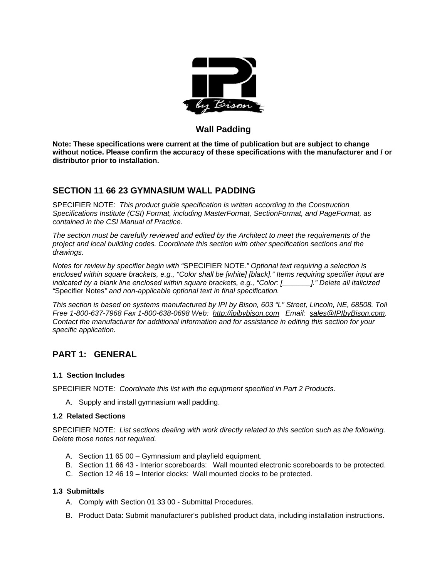

### **Wall Padding**

**Note: These specifications were current at the time of publication but are subject to change without notice. Please confirm the accuracy of these specifications with the manufacturer and / or distributor prior to installation.**

### **SECTION 11 66 23 GYMNASIUM WALL PADDING**

SPECIFIER NOTE: *This product guide specification is written according to the Construction Specifications Institute (CSI) Format, including MasterFormat, SectionFormat, and PageFormat, as contained in the CSI Manual of Practice.* 

*The section must be carefully reviewed and edited by the Architect to meet the requirements of the project and local building codes. Coordinate this section with other specification sections and the drawings.* 

*Notes for review by specifier begin with "*SPECIFIER NOTE*." Optional text requiring a selection is enclosed within square brackets, e.g., "Color shall be [white] [black]." Items requiring specifier input are indicated by a blank line enclosed within square brackets, e.g., "Color: [\_\_\_\_\_\_\_]." Delete all italicized "*Specifier Notes*" and non-applicable optional text in final specification.* 

*This section is based on systems manufactured by IPI by Bison, 603 "L" Street, Lincoln, NE, 68508. Toll Free 1-800-637-7968 Fax 1-800-638-0698 Web: http://ipibybison.com Email: sales@IPIbyBison.com. Contact the manufacturer for additional information and for assistance in editing this section for your specific application.* 

## **PART 1: GENERAL**

### **1.1 Section Includes**

SPECIFIER NOTE*: Coordinate this list with the equipment specified in Part 2 Products.* 

A. Supply and install gymnasium wall padding.

### **1.2 Related Sections**

SPECIFIER NOTE: *List sections dealing with work directly related to this section such as the following. Delete those notes not required.* 

- A. Section 11 65 00 Gymnasium and playfield equipment.
- B. Section 11 66 43 Interior scoreboards: Wall mounted electronic scoreboards to be protected.
- C. Section 12 46 19 Interior clocks: Wall mounted clocks to be protected.

#### **1.3 Submittals**

- A. Comply with Section 01 33 00 Submittal Procedures.
- B. Product Data: Submit manufacturer's published product data, including installation instructions.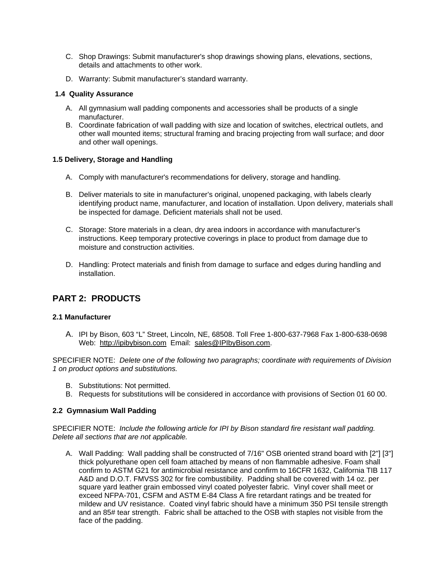- C. Shop Drawings: Submit manufacturer's shop drawings showing plans, elevations, sections, details and attachments to other work.
- D. Warranty: Submit manufacturer's standard warranty.

#### **1.4 Quality Assurance**

- A. All gymnasium wall padding components and accessories shall be products of a single manufacturer.
- B. Coordinate fabrication of wall padding with size and location of switches, electrical outlets, and other wall mounted items; structural framing and bracing projecting from wall surface; and door and other wall openings.

### **1.5 Delivery, Storage and Handling**

- A. Comply with manufacturer's recommendations for delivery, storage and handling.
- B. Deliver materials to site in manufacturer's original, unopened packaging, with labels clearly identifying product name, manufacturer, and location of installation. Upon delivery, materials shall be inspected for damage. Deficient materials shall not be used.
- C. Storage: Store materials in a clean, dry area indoors in accordance with manufacturer's instructions. Keep temporary protective coverings in place to product from damage due to moisture and construction activities.
- D. Handling: Protect materials and finish from damage to surface and edges during handling and installation.

## **PART 2: PRODUCTS**

### **2.1 Manufacturer**

A. IPI by Bison, 603 "L" Street, Lincoln, NE, 68508. Toll Free 1-800-637-7968 Fax 1-800-638-0698 Web: http://ipibybison.com Email: sales@IPIbyBison.com.

SPECIFIER NOTE: *Delete one of the following two paragraphs; coordinate with requirements of Division 1 on product options and substitutions.* 

- B. Substitutions: Not permitted.
- B. Requests for substitutions will be considered in accordance with provisions of Section 01 60 00.

### **2.2 Gymnasium Wall Padding**

SPECIFIER NOTE: *Include the following article for IPI by Bison standard fire resistant wall padding. Delete all sections that are not applicable.* 

A. Wall Padding: Wall padding shall be constructed of 7/16" OSB oriented strand board with [2"] [3"] thick polyurethane open cell foam attached by means of non flammable adhesive. Foam shall confirm to ASTM G21 for antimicrobial resistance and confirm to 16CFR 1632, California TIB 117 A&D and D.O.T. FMVSS 302 for fire combustibility. Padding shall be covered with 14 oz. per square yard leather grain embossed vinyl coated polyester fabric. Vinyl cover shall meet or exceed NFPA-701, CSFM and ASTM E-84 Class A fire retardant ratings and be treated for mildew and UV resistance. Coated vinyl fabric should have a minimum 350 PSI tensile strength and an 85# tear strength. Fabric shall be attached to the OSB with staples not visible from the face of the padding.